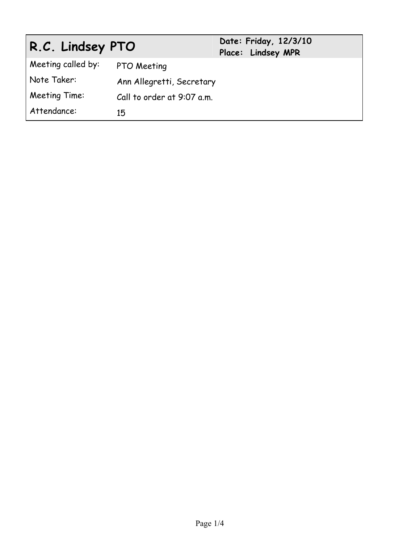| R.C. Lindsey PTO   |                            | Date: Friday, 12/3/10<br>Place: Lindsey MPR |  |
|--------------------|----------------------------|---------------------------------------------|--|
| Meeting called by: | PTO Meeting                |                                             |  |
| Note Taker:        | Ann Allegretti, Secretary  |                                             |  |
| Meeting Time:      | Call to order at 9:07 a.m. |                                             |  |
| Attendance:        | 15                         |                                             |  |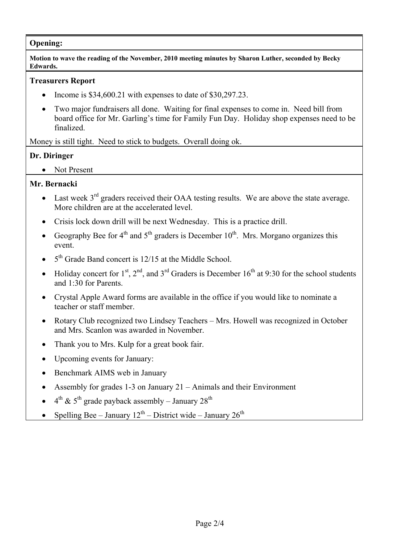### **Opening:**

**Motion to wave the reading of the November, 2010 meeting minutes by Sharon Luther, seconded by Becky Edwards.** 

### **Treasurers Report**

- Income is  $$34,600.21$  with expenses to date of  $$30,297.23$ .
- Two major fundraisers all done. Waiting for final expenses to come in. Need bill from board office for Mr. Garling's time for Family Fun Day. Holiday shop expenses need to be finalized.

Money is still tight. Need to stick to budgets. Overall doing ok.

# **Dr. Diringer**

• Not Present

# **Mr. Bernacki**

- Last week  $3<sup>rd</sup>$  graders received their OAA testing results. We are above the state average. More children are at the accelerated level.
- Crisis lock down drill will be next Wednesday. This is a practice drill.
- Geography Bee for  $4<sup>th</sup>$  and  $5<sup>th</sup>$  graders is December 10<sup>th</sup>. Mrs. Morgano organizes this event.
- $\bullet$  5<sup>th</sup> Grade Band concert is 12/15 at the Middle School.
- Holiday concert for  $1^{st}$ ,  $2^{nd}$ , and  $3^{rd}$  Graders is December 16<sup>th</sup> at 9:30 for the school students and 1:30 for Parents.
- Crystal Apple Award forms are available in the office if you would like to nominate a teacher or staff member.
- Rotary Club recognized two Lindsey Teachers Mrs. Howell was recognized in October and Mrs. Scanlon was awarded in November.
- Thank you to Mrs. Kulp for a great book fair.
- Upcoming events for January:
- Benchmark AIMS web in January
- Assembly for grades 1-3 on January 21 Animals and their Environment
- $\bullet$  4<sup>th</sup> & 5<sup>th</sup> grade payback assembly January 28<sup>th</sup>
- Spelling Bee January  $12^{th}$  District wide January  $26^{th}$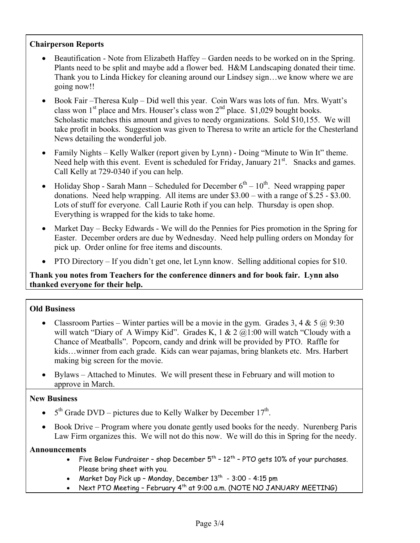### **Chairperson Reports**

- Beautification Note from Elizabeth Haffey Garden needs to be worked on in the Spring. Plants need to be split and maybe add a flower bed. H&M Landscaping donated their time. Thank you to Linda Hickey for cleaning around our Lindsey sign…we know where we are going now!!
- Book Fair Theresa Kulp Did well this year. Coin Wars was lots of fun. Mrs. Wyatt's class won  $1<sup>st</sup>$  place and Mrs. Houser's class won  $2<sup>nd</sup>$  place. \$1,029 bought books. Scholastic matches this amount and gives to needy organizations. Sold \$10,155. We will take profit in books. Suggestion was given to Theresa to write an article for the Chesterland News detailing the wonderful job.
- Family Nights Kelly Walker (report given by Lynn) Doing "Minute to Win It" theme. Need help with this event. Event is scheduled for Friday, January  $21<sup>st</sup>$ . Snacks and games. Call Kelly at 729-0340 if you can help.
- Holiday Shop Sarah Mann Scheduled for December  $6<sup>th</sup> 10<sup>th</sup>$ . Need wrapping paper donations. Need help wrapping. All items are under \$3.00 – with a range of \$.25 - \$3.00. Lots of stuff for everyone. Call Laurie Roth if you can help. Thursday is open shop. Everything is wrapped for the kids to take home.
- Market Day Becky Edwards We will do the Pennies for Pies promotion in the Spring for Easter. December orders are due by Wednesday. Need help pulling orders on Monday for pick up. Order online for free items and discounts.
- PTO Directory If you didn't get one, let Lynn know. Selling additional copies for \$10.

# **Thank you notes from Teachers for the conference dinners and for book fair. Lynn also thanked everyone for their help.**

# **Old Business**

- Classroom Parties Winter parties will be a movie in the gym. Grades 3, 4 & 5  $\omega$  9:30 will watch "Diary of A Wimpy Kid". Grades K,  $1 \& 2 \& 2 \& 1:00$  will watch "Cloudy with a Chance of Meatballs". Popcorn, candy and drink will be provided by PTO. Raffle for kids…winner from each grade. Kids can wear pajamas, bring blankets etc. Mrs. Harbert making big screen for the movie.
- Bylaws Attached to Minutes. We will present these in February and will motion to approve in March.

### **New Business**

- $\bullet$  5<sup>th</sup> Grade DVD pictures due to Kelly Walker by December 17<sup>th</sup>.
- Book Drive Program where you donate gently used books for the needy. Nurenberg Paris Law Firm organizes this. We will not do this now. We will do this in Spring for the needy.

### **Announcements**

- Five Below Fundraiser shop December  $5<sup>th</sup>$  12<sup>th</sup> PTO gets 10% of your purchases. Please bring sheet with you.
- Market Day Pick up Monday, December  $13<sup>th</sup>$  3:00 4:15 pm
- Next PTO Meeting February  $4<sup>th</sup>$  at 9:00 a.m. (NOTE NO JANUARY MEETING)